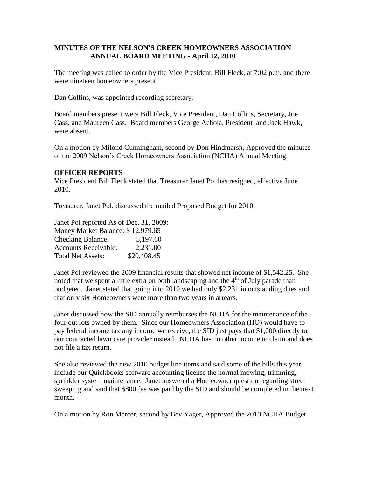## **MINUTES OF THE NELSON'S CREEK HOMEOWNERS ASSOCIATION ANNUAL BOARD MEETING - April 12, 2010**

The meeting was called to order by the Vice President, Bill Fleck, at 7:02 p.m. and there were nineteen homeowners present.

Dan Collins, was appointed recording secretary.

Board members present were Bill Fleck, Vice President, Dan Collins, Secretary, Joe Cass, and Maureen Cass. Board members George Achola, President and Jack Hawk, were absent.

On a motion by Milond Cunningham, second by Don Hindmarsh, Approved the minutes of the 2009 Nelson's Creek Homeowners Association (NCHA) Annual Meeting.

### **OFFICER REPORTS**

Vice President Bill Fleck stated that Treasurer Janet Pol has resigned, effective June 2010.

Treasurer, Janet Pol, discussed the mailed Proposed Budget for 2010.

Janet Pol reported As of Dec. 31, 2009: Money Market Balance: \$ 12,979.65 Checking Balance: 5,197.60 Accounts Receivable: 2,231.00 Total Net Assets: \$20,408.45

Janet Pol reviewed the 2009 financial results that showed net income of \$1,542.25. She noted that we spent a little extra on both landscaping and the  $4<sup>th</sup>$  of July parade than budgeted. Janet stated that going into 2010 we had only \$2,231 in outstanding dues and that only six Homeowners were more than two years in arrears.

Janet discussed how the SID annually reimburses the NCHA for the maintenance of the four out lots owned by them. Since our Homeowners Association (HO) would have to pay federal income tax any income we receive, the SID just pays that \$1,000 directly to our contracted lawn care provider instead. NCHA has no other income to claim and does not file a tax return.

She also reviewed the new 2010 budget line items and said some of the bills this year include our Quickbooks software accounting license the normal mowing, trimming, sprinkler system maintenance. Janet answered a Homeowner question regarding street sweeping and said that \$800 fee was paid by the SID and should be completed in the next month.

On a motion by Ron Mercer, second by Bev Yager, Approved the 2010 NCHA Budget.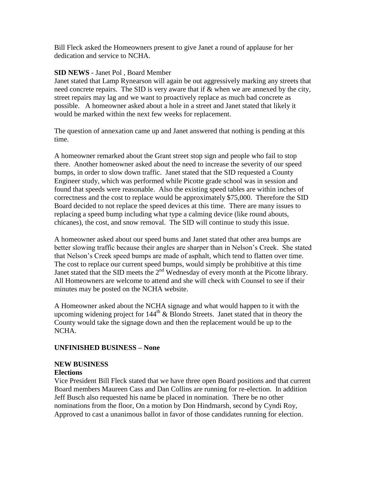Bill Fleck asked the Homeowners present to give Janet a round of applause for her dedication and service to NCHA.

### **SID NEWS** - Janet Pol , Board Member

Janet stated that Lamp Rynearson will again be out aggressively marking any streets that need concrete repairs. The SID is very aware that if & when we are annexed by the city, street repairs may lag and we want to proactively replace as much bad concrete as possible. A homeowner asked about a hole in a street and Janet stated that likely it would be marked within the next few weeks for replacement.

The question of annexation came up and Janet answered that nothing is pending at this time.

A homeowner remarked about the Grant street stop sign and people who fail to stop there. Another homeowner asked about the need to increase the severity of our speed bumps, in order to slow down traffic. Janet stated that the SID requested a County Engineer study, which was performed while Picotte grade school was in session and found that speeds were reasonable. Also the existing speed tables are within inches of correctness and the cost to replace would be approximately \$75,000. Therefore the SID Board decided to not replace the speed devices at this time. There are many issues to replacing a speed bump including what type a calming device (like round abouts, chicanes), the cost, and snow removal. The SID will continue to study this issue.

A homeowner asked about our speed bums and Janet stated that other area bumps are better slowing traffic because their angles are sharper than in Nelson's Creek. She stated that Nelson's Creek speed bumps are made of asphalt, which tend to flatten over time. The cost to replace our current speed bumps, would simply be prohibitive at this time Janet stated that the SID meets the  $2<sup>nd</sup>$  Wednesday of every month at the Picotte library. All Homeowners are welcome to attend and she will check with Counsel to see if their minutes may be posted on the NCHA website.

A Homeowner asked about the NCHA signage and what would happen to it with the upcoming widening project for  $144^{\text{th}}$  & Blondo Streets. Janet stated that in theory the County would take the signage down and then the replacement would be up to the NCHA.

## **UNFINISHED BUSINESS – None**

# **NEW BUSINESS**

#### **Elections**

Vice President Bill Fleck stated that we have three open Board positions and that current Board members Maureen Cass and Dan Collins are running for re-election. In addition Jeff Busch also requested his name be placed in nomination. There be no other nominations from the floor, On a motion by Don Hindmarsh, second by Cyndi Roy, Approved to cast a unanimous ballot in favor of those candidates running for election.